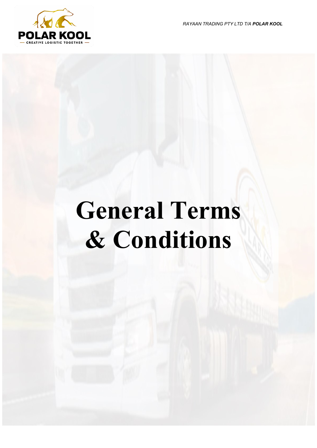*RAYAAN TRADING PTY LTD T/A POLAR KOOL*



# **General Terms & Conditions**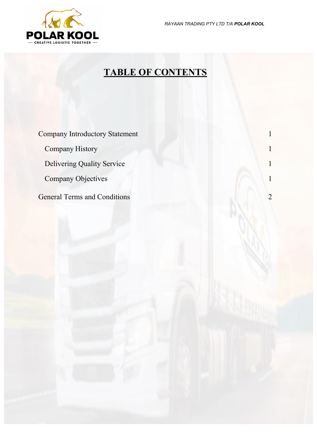*RAYAAN TRADING PTY LTD T/A POLAR KOOL*



## **TABLE OF CONTENTS**

**Company [Introductory](#page-2-0) Statement[Company](#page-2-1) History 1** [Delivering Quality Service](#page-2-2)**[Company Objectives](#page-2-3)**[General Terms and Conditions](#page-3-0)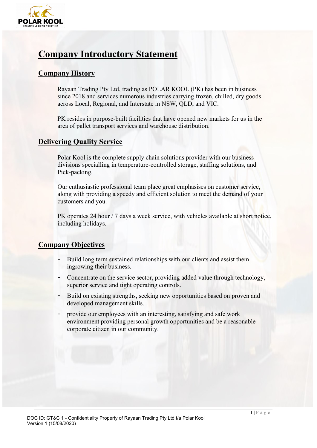

## <span id="page-2-0"></span>**Company Introductory Statement**

#### <span id="page-2-1"></span>**Company History**

Rayaan Trading Pty Ltd, trading as POLAR KOOL (PK) has been in business since 2018 and services numerous industries carrying frozen, chilled, dry goods across Local, Regional, and Interstate in NSW, QLD, and VIC.

PK resides in purpose-built facilities that have opened new markets for us in the area of pallet transport services and warehouse distribution.

#### <span id="page-2-2"></span>**Delivering Quality Service**

Polar Kool is the complete supply chain solutions provider with our business divisions specialling in temperature-controlled storage, staffing solutions, and Pick-packing.

Our enthusiastic professional team place great emphasises on customer service, along with providing a speedy and efficient solution to meet the demand of your customers and you.

PK operates 24 hour / 7 days a week service, with vehicles available at short notice, including holidays.

#### <span id="page-2-3"></span>**Company Objectives**

- Build long term sustained relationships with our clients and assist them ingrowing their business.
- Concentrate on the service sector, providing added value through technology, superior service and tight operating controls.
- Build on existing strengths, seeking new opportunities based on proven and developed management skills.
- provide our employees with an interesting, satisfying and safe work environment providing personal growth opportunities and be a reasonable corporate citizen in our community.